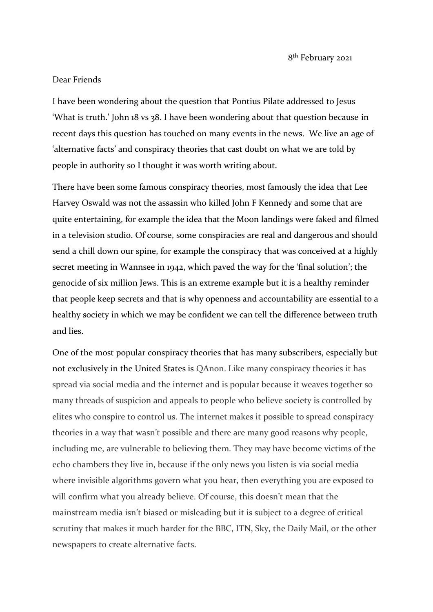8 th February 2021

## Dear Friends

I have been wondering about the question that Pontius Pilate addressed to Jesus 'What is truth.' John 18 vs 38. I have been wondering about that question because in recent days this question has touched on many events in the news. We live an age of 'alternative facts' and conspiracy theories that cast doubt on what we are told by people in authority so I thought it was worth writing about.

There have been some famous conspiracy theories, most famously the idea that Lee Harvey Oswald was not the assassin who killed John F Kennedy and some that are quite entertaining, for example the idea that the Moon landings were faked and filmed in a television studio. Of course, some conspiracies are real and dangerous and should send a chill down our spine, for example the conspiracy that was conceived at a highly secret meeting in Wannsee in 1942, which paved the way for the 'final solution'; the genocide of six million Jews. This is an extreme example but it is a healthy reminder that people keep secrets and that is why openness and accountability are essential to a healthy society in which we may be confident we can tell the difference between truth and lies.

One of the most popular conspiracy theories that has many subscribers, especially but not exclusively in the United States is QAnon. Like many conspiracy theories it has spread via social media and the internet and is popular because it weaves together so many threads of suspicion and appeals to people who believe society is controlled by elites who conspire to control us. The internet makes it possible to spread conspiracy theories in a way that wasn't possible and there are many good reasons why people, including me, are vulnerable to believing them. They may have become victims of the echo chambers they live in, because if the only news you listen is via social media where invisible algorithms govern what you hear, then everything you are exposed to will confirm what you already believe. Of course, this doesn't mean that the mainstream media isn't biased or misleading but it is subject to a degree of critical scrutiny that makes it much harder for the BBC, ITN, Sky, the Daily Mail, or the other newspapers to create alternative facts.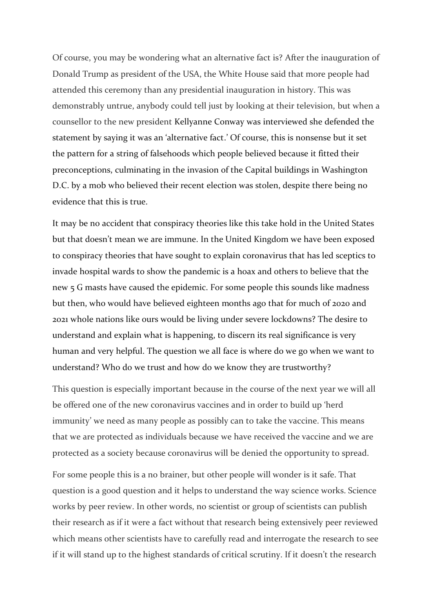Of course, you may be wondering what an alternative fact is? After the inauguration of Donald Trump as president of the USA, the White House said that more people had attended this ceremony than any presidential inauguration in history. This was demonstrably untrue, anybody could tell just by looking at their television, but when a counsellor to the new president Kellyanne Conway was interviewed she defended the statement by saying it was an 'alternative fact.' Of course, this is nonsense but it set the pattern for a string of falsehoods which people believed because it fitted their preconceptions, culminating in the invasion of the Capital buildings in Washington D.C. by a mob who believed their recent election was stolen, despite there being no evidence that this is true.

It may be no accident that conspiracy theories like this take hold in the United States but that doesn't mean we are immune. In the United Kingdom we have been exposed to conspiracy theories that have sought to explain coronavirus that has led sceptics to invade hospital wards to show the pandemic is a hoax and others to believe that the new 5 G masts have caused the epidemic. For some people this sounds like madness but then, who would have believed eighteen months ago that for much of 2020 and 2021 whole nations like ours would be living under severe lockdowns? The desire to understand and explain what is happening, to discern its real significance is very human and very helpful. The question we all face is where do we go when we want to understand? Who do we trust and how do we know they are trustworthy?

This question is especially important because in the course of the next year we will all be offered one of the new coronavirus vaccines and in order to build up 'herd immunity' we need as many people as possibly can to take the vaccine. This means that we are protected as individuals because we have received the vaccine and we are protected as a society because coronavirus will be denied the opportunity to spread.

For some people this is a no brainer, but other people will wonder is it safe. That question is a good question and it helps to understand the way science works. Science works by peer review. In other words, no scientist or group of scientists can publish their research as if it were a fact without that research being extensively peer reviewed which means other scientists have to carefully read and interrogate the research to see if it will stand up to the highest standards of critical scrutiny. If it doesn't the research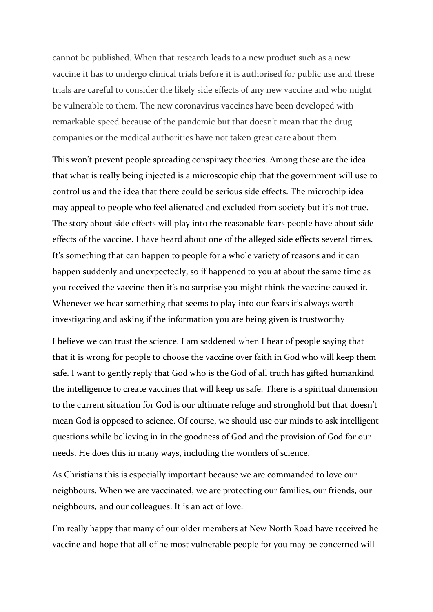cannot be published. When that research leads to a new product such as a new vaccine it has to undergo clinical trials before it is authorised for public use and these trials are careful to consider the likely side effects of any new vaccine and who might be vulnerable to them. The new coronavirus vaccines have been developed with remarkable speed because of the pandemic but that doesn't mean that the drug companies or the medical authorities have not taken great care about them.

This won't prevent people spreading conspiracy theories. Among these are the idea that what is really being injected is a microscopic chip that the government will use to control us and the idea that there could be serious side effects. The microchip idea may appeal to people who feel alienated and excluded from society but it's not true. The story about side effects will play into the reasonable fears people have about side effects of the vaccine. I have heard about one of the alleged side effects several times. It's something that can happen to people for a whole variety of reasons and it can happen suddenly and unexpectedly, so if happened to you at about the same time as you received the vaccine then it's no surprise you might think the vaccine caused it. Whenever we hear something that seems to play into our fears it's always worth investigating and asking if the information you are being given is trustworthy

I believe we can trust the science. I am saddened when I hear of people saying that that it is wrong for people to choose the vaccine over faith in God who will keep them safe. I want to gently reply that God who is the God of all truth has gifted humankind the intelligence to create vaccines that will keep us safe. There is a spiritual dimension to the current situation for God is our ultimate refuge and stronghold but that doesn't mean God is opposed to science. Of course, we should use our minds to ask intelligent questions while believing in in the goodness of God and the provision of God for our needs. He does this in many ways, including the wonders of science.

As Christians this is especially important because we are commanded to love our neighbours. When we are vaccinated, we are protecting our families, our friends, our neighbours, and our colleagues. It is an act of love.

I'm really happy that many of our older members at New North Road have received he vaccine and hope that all of he most vulnerable people for you may be concerned will